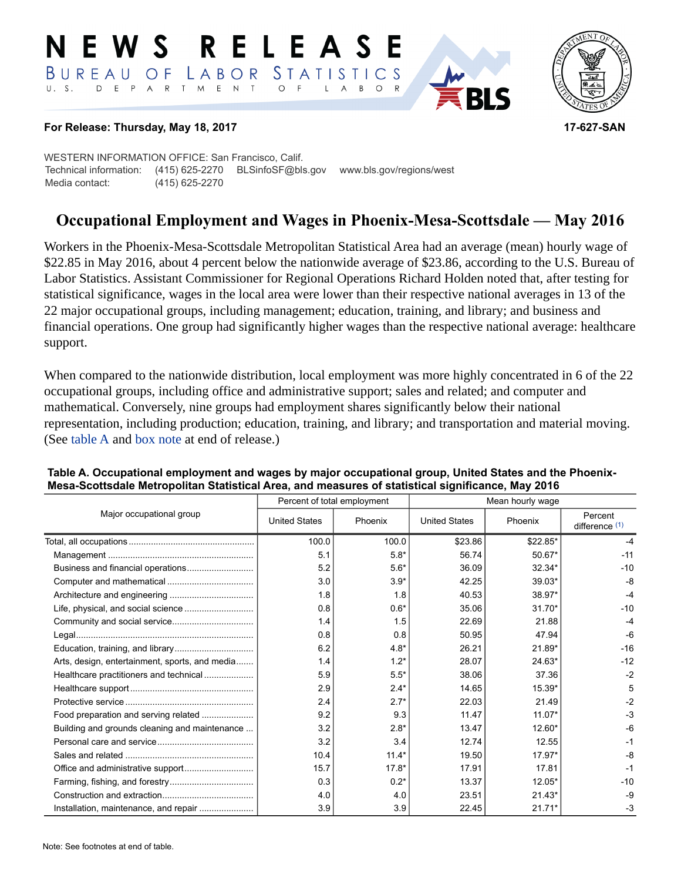#### RELEASE EWS LABOR STATISTICS BUREAU OF D E P A R T M E N T  $\circ$  $U. S.$  $\overline{F}$ B  $\circ$  $\mathsf{L}$  $\overline{A}$



### **For Release: Thursday, May 18, 2017 17-627-SAN**

WESTERN INFORMATION OFFICE: San Francisco, Calif. Technical information: (415) 625-2270 BLSinfoSF@bls.gov www.bls.gov/regions/west Media contact: (415) 625-2270

# **Occupational Employment and Wages in Phoenix-Mesa-Scottsdale — May 2016**

Workers in the Phoenix-Mesa-Scottsdale Metropolitan Statistical Area had an average (mean) hourly wage of \$22.85 in May 2016, about 4 percent below the nationwide average of \$23.86, according to the U.S. Bureau of Labor Statistics. Assistant Commissioner for Regional Operations Richard Holden noted that, after testing for statistical significance, wages in the local area were lower than their respective national averages in 13 of the 22 major occupational groups, including management; education, training, and library; and business and financial operations. One group had significantly higher wages than the respective national average: healthcare support.

When compared to the nationwide distribution, local employment was more highly concentrated in 6 of the 22 occupational groups, including office and administrative support; sales and related; and computer and mathematical. Conversely, nine groups had employment shares significantly below their national representation, including production; education, training, and library; and transportation and material moving. (See table A and [box note](#page-1-0) at end of release.)

|                                                |                      | Percent of total employment | Mean hourly wage     |          |                           |  |
|------------------------------------------------|----------------------|-----------------------------|----------------------|----------|---------------------------|--|
| Major occupational group                       | <b>United States</b> | Phoenix                     | <b>United States</b> | Phoenix  | Percent<br>difference (1) |  |
|                                                | 100.0                | 100.0                       | \$23.86              | \$22.85* | -4                        |  |
|                                                | 5.1                  | $5.8*$                      | 56.74                | $50.67*$ | $-11$                     |  |
|                                                | 5.2                  | $5.6*$                      | 36.09                | 32.34*   | $-10$                     |  |
|                                                | 3.0                  | $3.9*$                      | 42.25                | $39.03*$ | $-8$                      |  |
|                                                | 1.8                  | 1.8                         | 40.53                | 38.97*   | $-4$                      |  |
|                                                | 0.8                  | $0.6*$                      | 35.06                | $31.70*$ | $-10$                     |  |
|                                                | 1.4                  | 1.5                         | 22.69                | 21.88    | $-4$                      |  |
|                                                | 0.8                  | 0.8                         | 50.95                | 47.94    | $-6$                      |  |
|                                                | 6.2                  | $4.8*$                      | 26.21                | 21.89*   | $-16$                     |  |
| Arts, design, entertainment, sports, and media | 1.4                  | $1.2*$                      | 28.07                | 24.63*   | $-12$                     |  |
| Healthcare practitioners and technical         | 5.9                  | $5.5*$                      | 38.06                | 37.36    | $-2$                      |  |
|                                                | 2.9                  | $2.4*$                      | 14.65                | 15.39*   | 5                         |  |
|                                                | 2.4                  | $2.7*$                      | 22.03                | 21.49    | $-2$                      |  |
| Food preparation and serving related           | 9.2                  | 9.3                         | 11.47                | $11.07*$ | $-3$                      |  |
| Building and grounds cleaning and maintenance  | 3.2                  | $2.8*$                      | 13.47                | 12.60*   | -6                        |  |
|                                                | 3.2                  | 3.4                         | 12.74                | 12.55    | $-1$                      |  |
|                                                | 10.4                 | $11.4*$                     | 19.50                | $17.97*$ | $-8$                      |  |
|                                                | 15.7                 | $17.8*$                     | 17.91                | 17.81    | $-1$                      |  |
|                                                | 0.3                  | $0.2*$                      | 13.37                | $12.05*$ | $-10$                     |  |
|                                                | 4.0                  | 4.0                         | 23.51                | $21.43*$ | $-9$                      |  |
|                                                | 3.9                  | 3.9                         | 22.45                | $21.71*$ | $-3$                      |  |

### **Table A. Occupational employment and wages by major occupational group, United States and the Phoenix-Mesa-Scottsdale Metropolitan Statistical Area, and measures of statistical significance, May 2016**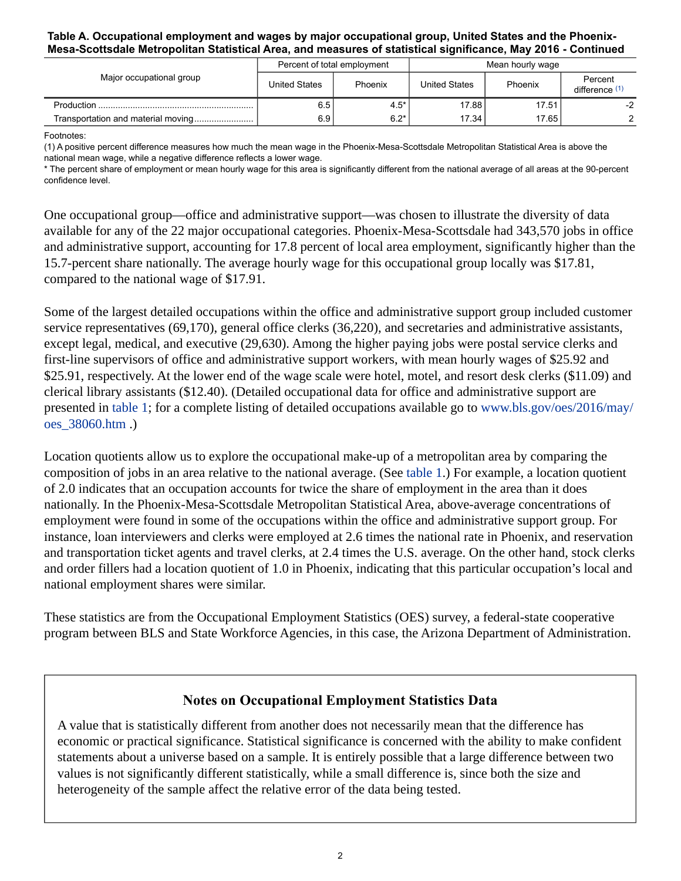### **Table A. Occupational employment and wages by major occupational group, United States and the Phoenix-Mesa-Scottsdale Metropolitan Statistical Area, and measures of statistical significance, May 2016 - Continued**

|                          | Percent of total employment |         | Mean hourly wage |         |                           |  |
|--------------------------|-----------------------------|---------|------------------|---------|---------------------------|--|
| Major occupational group | <b>United States</b>        | Phoenix | United States    | Phoenix | Percent<br>difference (1) |  |
|                          | 6.5                         | $4.5*$  | 17.88            | 17.51   | $-2$                      |  |
|                          | 6.9 I                       | $6.2*$  | 17.34            | 17.65   |                           |  |

Footnotes:

<span id="page-1-1"></span>(1) A positive percent difference measures how much the mean wage in the Phoenix-Mesa-Scottsdale Metropolitan Statistical Area is above the national mean wage, while a negative difference reflects a lower wage.

\* The percent share of employment or mean hourly wage for this area is significantly different from the national average of all areas at the 90-percent confidence level.

One occupational group—office and administrative support—was chosen to illustrate the diversity of data available for any of the 22 major occupational categories. Phoenix-Mesa-Scottsdale had 343,570 jobs in office and administrative support, accounting for 17.8 percent of local area employment, significantly higher than the 15.7-percent share nationally. The average hourly wage for this occupational group locally was \$17.81, compared to the national wage of \$17.91.

Some of the largest detailed occupations within the office and administrative support group included customer service representatives (69,170), general office clerks (36,220), and secretaries and administrative assistants, except legal, medical, and executive (29,630). Among the higher paying jobs were postal service clerks and first-line supervisors of office and administrative support workers, with mean hourly wages of \$25.92 and \$25.91, respectively. At the lower end of the wage scale were hotel, motel, and resort desk clerks (\$11.09) and clerical library assistants (\$12.40). (Detailed occupational data for office and administrative support are presented in table 1; for a complete listing of detailed occupations available go to [www.bls.gov/oes/2016/may/](https://www.bls.gov/oes/2016/may/oes_38060.htm) [oes\\_38060.htm](https://www.bls.gov/oes/2016/may/oes_38060.htm) .)

Location quotients allow us to explore the occupational make-up of a metropolitan area by comparing the composition of jobs in an area relative to the national average. (See table 1.) For example, a location quotient of 2.0 indicates that an occupation accounts for twice the share of employment in the area than it does nationally. In the Phoenix-Mesa-Scottsdale Metropolitan Statistical Area, above-average concentrations of employment were found in some of the occupations within the office and administrative support group. For instance, loan interviewers and clerks were employed at 2.6 times the national rate in Phoenix, and reservation and transportation ticket agents and travel clerks, at 2.4 times the U.S. average. On the other hand, stock clerks and order fillers had a location quotient of 1.0 in Phoenix, indicating that this particular occupation's local and national employment shares were similar.

These statistics are from the Occupational Employment Statistics (OES) survey, a federal-state cooperative program between BLS and State Workforce Agencies, in this case, the Arizona Department of Administration.

# **Notes on Occupational Employment Statistics Data**

<span id="page-1-0"></span>A value that is statistically different from another does not necessarily mean that the difference has economic or practical significance. Statistical significance is concerned with the ability to make confident statements about a universe based on a sample. It is entirely possible that a large difference between two values is not significantly different statistically, while a small difference is, since both the size and heterogeneity of the sample affect the relative error of the data being tested.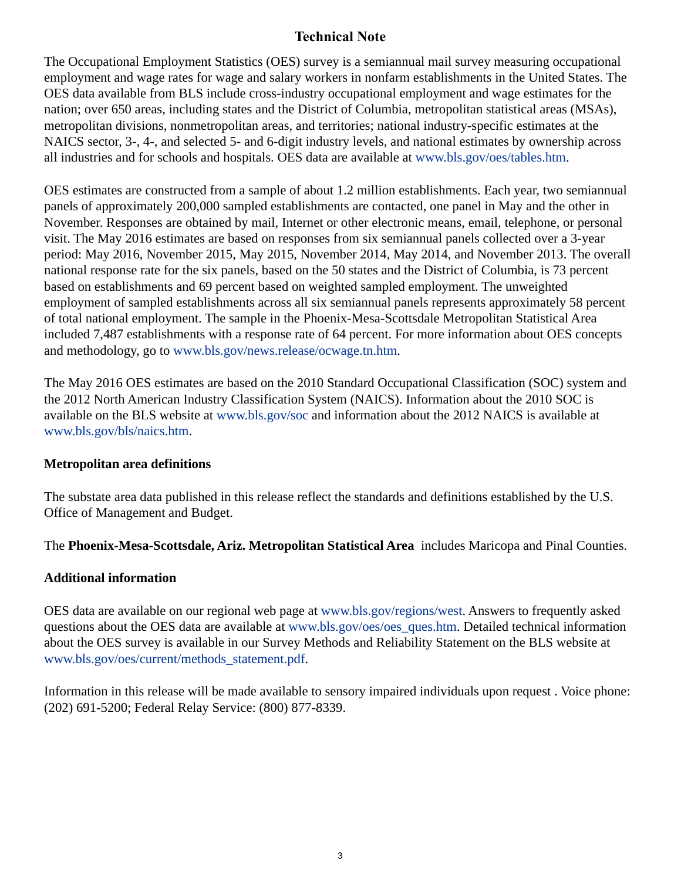# **Technical Note**

The Occupational Employment Statistics (OES) survey is a semiannual mail survey measuring occupational employment and wage rates for wage and salary workers in nonfarm establishments in the United States. The OES data available from BLS include cross-industry occupational employment and wage estimates for the nation; over 650 areas, including states and the District of Columbia, metropolitan statistical areas (MSAs), metropolitan divisions, nonmetropolitan areas, and territories; national industry-specific estimates at the NAICS sector, 3-, 4-, and selected 5- and 6-digit industry levels, and national estimates by ownership across all industries and for schools and hospitals. OES data are available at [www.bls.gov/oes/tables.htm](https://www.bls.gov/oes/tables.htm).

OES estimates are constructed from a sample of about 1.2 million establishments. Each year, two semiannual panels of approximately 200,000 sampled establishments are contacted, one panel in May and the other in November. Responses are obtained by mail, Internet or other electronic means, email, telephone, or personal visit. The May 2016 estimates are based on responses from six semiannual panels collected over a 3-year period: May 2016, November 2015, May 2015, November 2014, May 2014, and November 2013. The overall national response rate for the six panels, based on the 50 states and the District of Columbia, is 73 percent based on establishments and 69 percent based on weighted sampled employment. The unweighted employment of sampled establishments across all six semiannual panels represents approximately 58 percent of total national employment. The sample in the Phoenix-Mesa-Scottsdale Metropolitan Statistical Area included 7,487 establishments with a response rate of 64 percent. For more information about OES concepts and methodology, go to [www.bls.gov/news.release/ocwage.tn.htm](https://www.bls.gov/news.release/ocwage.tn.htm).

The May 2016 OES estimates are based on the 2010 Standard Occupational Classification (SOC) system and the 2012 North American Industry Classification System (NAICS). Information about the 2010 SOC is available on the BLS website at [www.bls.gov/soc](https://www.bls.gov/soc) and information about the 2012 NAICS is available at [www.bls.gov/bls/naics.htm.](https://www.bls.gov/bls/naics.htm)

### **Metropolitan area definitions**

The substate area data published in this release reflect the standards and definitions established by the U.S. Office of Management and Budget.

The **Phoenix-Mesa-Scottsdale, Ariz. Metropolitan Statistical Area** includes Maricopa and Pinal Counties.

# **Additional information**

OES data are available on our regional web page at [www.bls.gov/regions/west.](https://www.bls.gov/regions/west) Answers to frequently asked questions about the OES data are available at [www.bls.gov/oes/oes\\_ques.htm.](https://www.bls.gov/oes/oes_ques.htm) Detailed technical information about the OES survey is available in our Survey Methods and Reliability Statement on the BLS website at [www.bls.gov/oes/current/methods\\_statement.pdf](https://www.bls.gov/oes/current/methods_statement.pdf).

Information in this release will be made available to sensory impaired individuals upon request . Voice phone: (202) 691-5200; Federal Relay Service: (800) 877-8339.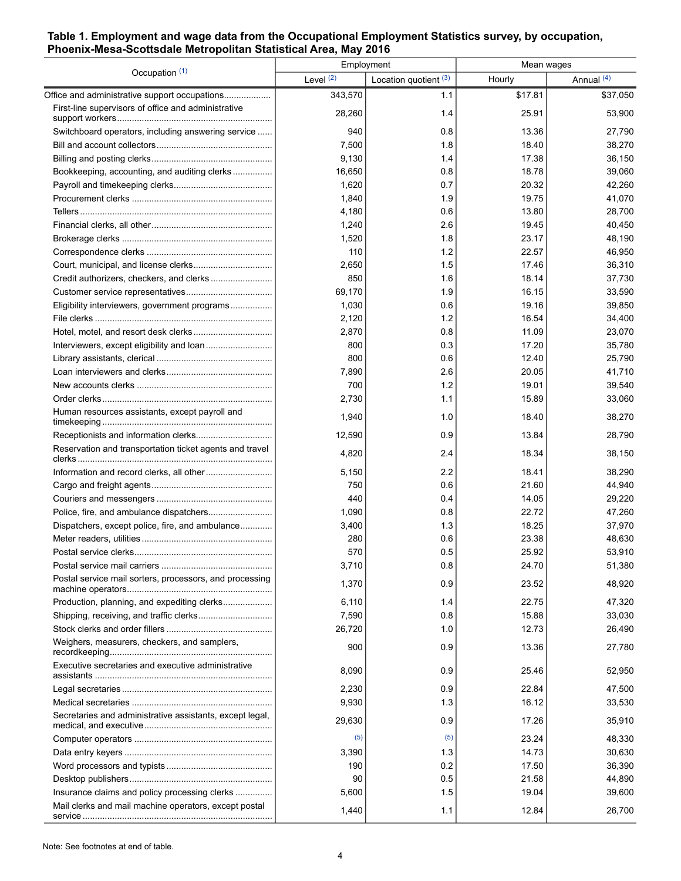### **Table 1. Employment and wage data from the Occupational Employment Statistics survey, by occupation, Phoenix-Mesa-Scottsdale Metropolitan Statistical Area, May 2016**

| Occupation (1)                                           | Employment  |                       | Mean wages |            |
|----------------------------------------------------------|-------------|-----------------------|------------|------------|
|                                                          | Level $(2)$ | Location quotient (3) | Hourly     | Annual (4) |
| Office and administrative support occupations            | 343,570     | 1.1                   | \$17.81    | \$37,050   |
| First-line supervisors of office and administrative      | 28,260      | 1.4                   | 25.91      | 53,900     |
| Switchboard operators, including answering service       | 940         | 0.8                   | 13.36      | 27,790     |
|                                                          | 7,500       | 1.8                   | 18.40      | 38,270     |
|                                                          | 9,130       | 1.4                   | 17.38      | 36,150     |
| Bookkeeping, accounting, and auditing clerks             | 16,650      | 0.8                   | 18.78      | 39,060     |
|                                                          | 1,620       | 0.7                   | 20.32      | 42,260     |
|                                                          | 1,840       | 1.9                   | 19.75      | 41,070     |
|                                                          | 4,180       | 0.6                   | 13.80      | 28,700     |
|                                                          | 1,240       | 2.6                   | 19.45      | 40,450     |
|                                                          | 1,520       | 1.8                   | 23.17      | 48,190     |
|                                                          | 110         | 1.2                   | 22.57      | 46,950     |
|                                                          | 2,650       | 1.5                   | 17.46      | 36,310     |
|                                                          | 850         | 1.6                   | 18.14      | 37,730     |
|                                                          | 69,170      | 1.9                   | 16.15      | 33,590     |
| Eligibility interviewers, government programs            | 1,030       | 0.6                   | 19.16      | 39,850     |
|                                                          | 2,120       | 1.2                   | 16.54      | 34,400     |
|                                                          | 2,870       | 0.8                   | 11.09      | 23,070     |
|                                                          | 800         | 0.3                   | 17.20      | 35,780     |
|                                                          | 800         | 0.6                   | 12.40      | 25,790     |
|                                                          | 7,890       | 2.6                   | 20.05      | 41,710     |
|                                                          | 700         | 1.2                   | 19.01      | 39,540     |
|                                                          | 2,730       | 1.1                   | 15.89      | 33,060     |
| Human resources assistants, except payroll and           | 1,940       | 1.0                   | 18.40      | 38,270     |
|                                                          | 12,590      | 0.9                   | 13.84      | 28,790     |
| Reservation and transportation ticket agents and travel  | 4,820       | 2.4                   | 18.34      | 38,150     |
|                                                          | 5,150       | 2.2                   | 18.41      | 38,290     |
|                                                          | 750         | 0.6                   | 21.60      | 44,940     |
|                                                          | 440         | 0.4                   | 14.05      | 29,220     |
|                                                          | 1,090       | 0.8                   | 22.72      | 47,260     |
| Dispatchers, except police, fire, and ambulance          | 3,400       | 1.3                   | 18.25      | 37,970     |
|                                                          | 280         | 0.6                   | 23.38      | 48,630     |
|                                                          | 570         | 0.5                   | 25.92      | 53,910     |
|                                                          | 3,710       | 0.8                   | 24.70      | 51,380     |
| Postal service mail sorters, processors, and processing  | 1,370       | 0.9                   | 23.52      | 48,920     |
| Production, planning, and expediting clerks              | 6,110       | 1.4                   | 22.75      | 47,320     |
|                                                          | 7,590       | 0.8                   | 15.88      | 33,030     |
|                                                          | 26,720      | 1.0                   | 12.73      | 26,490     |
| Weighers, measurers, checkers, and samplers,             | 900         | 0.9                   | 13.36      | 27,780     |
| Executive secretaries and executive administrative       | 8,090       | 0.9                   | 25.46      | 52,950     |
|                                                          | 2,230       | 0.9                   | 22.84      | 47,500     |
|                                                          | 9,930       | 1.3                   | 16.12      | 33,530     |
| Secretaries and administrative assistants, except legal, | 29,630      | 0.9                   | 17.26      | 35,910     |
|                                                          | (5)         | (5)                   | 23.24      | 48,330     |
|                                                          | 3,390       | 1.3                   | 14.73      | 30,630     |
|                                                          | 190         | 0.2                   | 17.50      | 36,390     |
|                                                          | 90          | 0.5                   | 21.58      | 44,890     |
| Insurance claims and policy processing clerks            | 5,600       | 1.5                   | 19.04      | 39,600     |
| Mail clerks and mail machine operators, except postal    | 1,440       | 1.1                   | 12.84      | 26,700     |